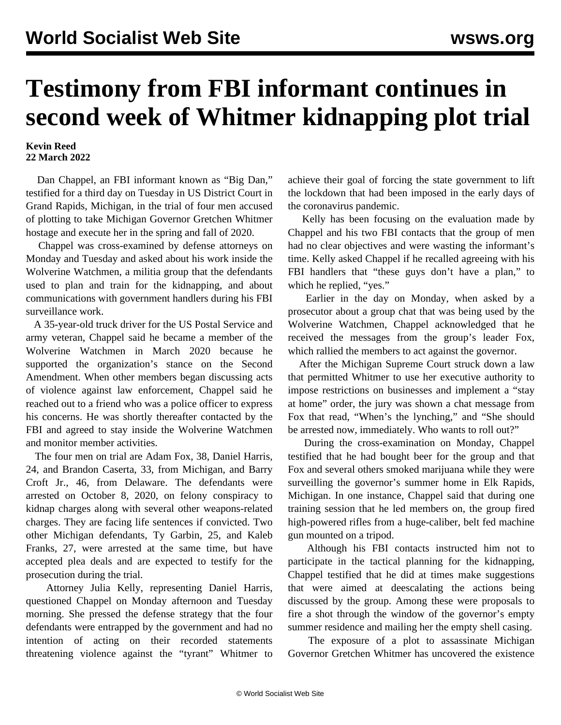## **Testimony from FBI informant continues in second week of Whitmer kidnapping plot trial**

## **Kevin Reed 22 March 2022**

 Dan Chappel, an FBI informant known as "Big Dan," testified for a third day on Tuesday in US District Court in Grand Rapids, Michigan, in the trial of four men accused of plotting to take Michigan Governor Gretchen Whitmer hostage and execute her in the spring and fall of 2020.

 Chappel was cross-examined by defense attorneys on Monday and Tuesday and asked about his work inside the Wolverine Watchmen, a militia group that the defendants used to plan and train for the kidnapping, and about communications with government handlers during his FBI surveillance work.

 A 35-year-old truck driver for the US Postal Service and army veteran, Chappel said he became a member of the Wolverine Watchmen in March 2020 because he supported the organization's stance on the Second Amendment. When other members began discussing acts of violence against law enforcement, Chappel said he reached out to a friend who was a police officer to express his concerns. He was shortly thereafter contacted by the FBI and agreed to stay inside the Wolverine Watchmen and monitor member activities.

 The four men on trial are Adam Fox, 38, Daniel Harris, 24, and Brandon Caserta, 33, from Michigan, and Barry Croft Jr., 46, from Delaware. The defendants were arrested on October 8, 2020, on felony conspiracy to kidnap charges along with several other weapons-related charges. They are facing life sentences if convicted. Two other Michigan defendants, Ty Garbin, 25, and Kaleb Franks, 27, were arrested at the same time, but have accepted plea deals and are expected to testify for the prosecution during the trial.

 Attorney Julia Kelly, representing Daniel Harris, questioned Chappel on Monday afternoon and Tuesday morning. She pressed the defense strategy that the four defendants were entrapped by the government and had no intention of acting on their recorded statements threatening violence against the "tyrant" Whitmer to achieve their goal of forcing the state government to lift the lockdown that had been imposed in the early days of the coronavirus pandemic.

 Kelly has been focusing on the evaluation made by Chappel and his two FBI contacts that the group of men had no clear objectives and were wasting the informant's time. Kelly asked Chappel if he recalled agreeing with his FBI handlers that "these guys don't have a plan," to which he replied, "yes."

 Earlier in the day on Monday, when asked by a prosecutor about a group chat that was being used by the Wolverine Watchmen, Chappel acknowledged that he received the messages from the group's leader Fox, which rallied the members to act against the governor.

 After the Michigan Supreme Court struck down a law that permitted Whitmer to use her executive authority to impose restrictions on businesses and implement a "stay at home" order, the jury was shown a chat message from Fox that read, "When's the lynching," and "She should be arrested now, immediately. Who wants to roll out?"

 During the cross-examination on Monday, Chappel testified that he had bought beer for the group and that Fox and several others smoked marijuana while they were surveilling the governor's summer home in Elk Rapids, Michigan. In one instance, Chappel said that during one training session that he led members on, the group fired high-powered rifles from a huge-caliber, belt fed machine gun mounted on a tripod.

 Although his FBI contacts instructed him not to participate in the tactical planning for the kidnapping, Chappel testified that he did at times make suggestions that were aimed at deescalating the actions being discussed by the group. Among these were proposals to fire a shot through the window of the governor's empty summer residence and mailing her the empty shell casing.

 The exposure of a plot to assassinate Michigan Governor Gretchen Whitmer has uncovered the existence